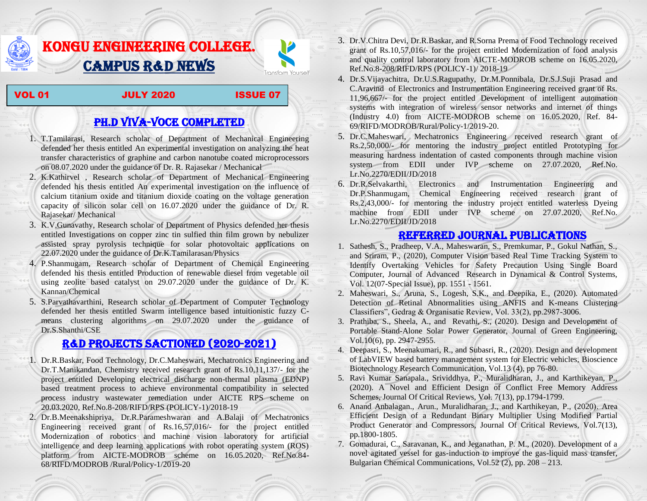## KONGU ENGINEERING COLLEGE. CAMPUS R&D NEWS

VOL 01 JULY 2020 ISSUE 07

Transform Yourself

## PH.D VIVA-VOCE COMPLETED

- 1. T.Tamilarasi, Research scholar of Department of Mechanical Engineering defended her thesis entitled An experimental investigation on analyzing the heat transfer characteristics of graphine and carbon nanotube coated microprocessors on 08.07.2020 under the guidance of Dr. R. Rajasekar / Mechanical
- 2. K.Kathirvel , Research scholar of Department of Mechanical Engineering defended his thesis entitled An experimental investigation on the influence of calcium titanium oxide and titanium dioxide coating on the voltage generation capacity of silicon solar cell on 16.07.2020 under the guidance of Dr. R. Rajasekar/ Mechanical
- 3. K.V.Gunavathy, Research scholar of Department of Physics defended her thesis entitled Investigations on copper zinc tin sulfied thin film grown by nebulizer assisted spray pyrolysis technique for solar photovoltaic applications on 22.07.2020 under the guidance of Dr.K.Tamilarasan/Physics
- 4. P.Shanmugam, Research scholar of Department of Chemical Engineering defended his thesis entitled Production of renewable diesel from vegetable oil using zeolite based catalyst on 29.07.2020 under the guidance of Dr. K. Kannan/Chemical
- 5. S.Parvathavarthini, Research scholar of Department of Computer Technology defended her thesis entitled Swarm intelligence based intuitionistic fuzzy Cmeans clustering algorithms on 29.07.2020 under the guidance of Dr.S.Shanthi/CSE

## R&D PROJECTS SACTIONED (2020-2021)

- 1. Dr.R.Baskar, Food Technology, Dr.C.Maheswari, Mechatronics Engineering and Dr.T.Manikandan, Chemistry received research grant of Rs.10,11,137/- for the project entitled Developing electrical discharge non-thermal plasma (EDNP) based treatment process to achieve environmental compatibility in selected process industry wastewater remediation under AICTE RPS scheme on 20.03.2020, Ref.No.8-208/RIFD/RPS (POLICY-1)/2018-19
- 2. Dr.B.Meenakshipriya, Dr.R.Parameshwaran and A.Balaji of Mechatronics Engineering received grant of Rs.16,57,016/- for the project entitled Modernization [of robotics and machine vision laboratory for artificial](http://rnd.kongu.edu/ractivities/mts/data/)  [intelligence and deep learning applications with robot operating system \(ROS\)](http://rnd.kongu.edu/ractivities/mts/data/)  [platform](http://rnd.kongu.edu/ractivities/mts/data/) from AICTE-MODROB scheme on 16.05.2020, Ref.No.84- 68/RIFD/MODROB /Rural/Policy-1/2019-20
- 3. Dr.V.Chitra Devi, Dr.R.Baskar, and R.Sorna Prema of Food Technology received grant of Rs.10,57,016/- for the project entitled Modernization of food analysis and quality control laboratory from AICTE-MODROB scheme on 16.05.2020, Ref.No.8-208/RIFD/RPS (POLICY-1)/ 2018-19
- 4. Dr.S.Vijayachitra, Dr.U.S.Ragupathy, Dr.M.Ponnibala, Dr.S.J.Suji Prasad and C.Aravind of Electronics and Instrumentation Engineering received grant of Rs. 11,96,667/- for the project entitled Development of intelligent automation systems with integration of wireless sensor networks and internet of things (Industry 4.0) from AICTE-MODROB scheme on 16.05.2020, Ref. 84- 69/RIFD/MODROB/Rural/Policy-1/2019-20.
- 5. Dr.C.Maheswari, Mechatronics Engineering received research grant of Rs.2,50,000/- for mentoring the industry project entitled [Prototyping for](http://rnd.kongu.edu/ractivities/mts/data/)  [measuring hardness indentation of casted components through machine vision](http://rnd.kongu.edu/ractivities/mts/data/)  [system](http://rnd.kongu.edu/ractivities/mts/data/) from EDII under IVP scheme on 27.07.2020, Ref.No. Lr.No.2270/EDII/JD/2018
- 6. Dr.R.Selvakarthi, Electronics and Instrumentation Engineering and Dr.P.Shanmugam, Chemical Engineering received research grant of Rs.2,43,000/- for mentoring the industry project entitled waterless Dyeing machine from EDII under IVP scheme on 27.07.2020, Ref.No. Lr.No.2270/EDII/JD/2018

## Referred JOURNAL publications

- 1. Sathesh, S., Pradheep, V.A., Maheswaran, S., Premkumar, P., Gokul Nathan, S., and Sriram, P., (2020), Computer Vision based Real Time Tracking System to Identify Overtaking Vehicles for Safety Precaution Using Single Board Computer, Journal of Advanced Research in Dynamical & Control Systems, Vol. 12(07-Special Issue), pp. 1551 - 1561.
- 2. Maheswari, S., Aruna, S., Logesh, S.K., and Deepika, E., (2020). Automated Detection of Retinal Abnormalities using ANFIS and K-means Clustering Classifiers", Gedrag & Organisatie Review, Vol. 33(2), pp.2987-3006.
- 3. Prathiba, S., Sheela, A., and Revathi, S., (2020). Design and Development of Portable Stand-Alone Solar Power Generator, Journal of Green Engineering, Vol.10(6), pp. 2947-2955.
- 4. Deepasri, S., Meenakumari, R., and Subasri, R., (2020). Design and development of LabVIEW based battery management system for Electric vehicles, Bioscience Biotechnology Research Communication, Vol.13 (4), pp 76-80.
- 5. Ravi Kumar Sanapala., Srividdhya, P., Muralidharan, J., and Karthikeyan, P., (2020). A Novel and Efficient Design of Conflict Free Memory Address Schemes, Journal Of Critical Reviews, Vol. 7(13), pp.1794-1799.
- 6. Anand Anbalagan., Arun., Muralidharan, J., and Karthikeyan, P., (2020). Area Efficient Design of a Redundant Binary Multiplier Using Modified Partial Product Generator and Compressors, Journal Of Critical Reviews, Vol.7(13), pp.1800-1805.
- 7. Gomadurai, C., Saravanan, K., and Jeganathan, P. M., (2020). Development of a novel agitated vessel for gas-induction to improve the gas-liquid mass transfer, Bulgarian Chemical Communications, Vol.52 (2), pp. 208 – 213.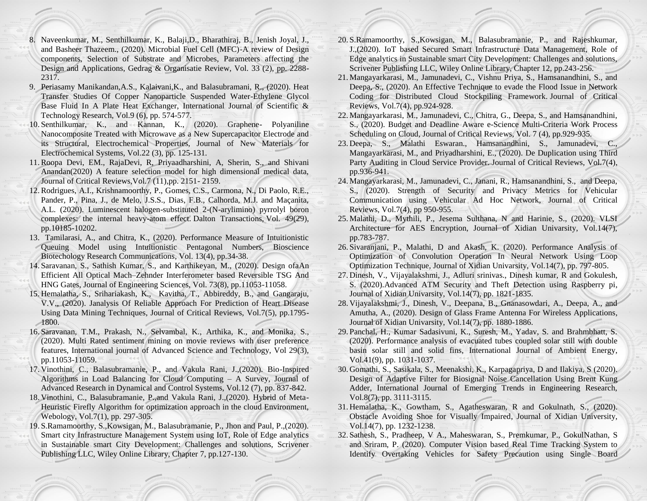- 8. Naveenkumar, M., Senthilkumar, K., Balaji,D., Bharathiraj, B., Jenish Joyal, J., and Basheer Thazeem., (2020). Microbial Fuel Cell (MFC)-A review of Design components, Selection of Substrate and Microbes, Parameters affecting the Design and Applications, Gedrag & Organisatie Review, Vol. 33 (2), pp. 2288- 2317.
- 9. Periasamy Manikandan,A.S., Kalaivani,K., and Balasubramani, R., (2020). Heat Transfer Studies Of Copper Nanoparticle Suspended Water-Ethylene Glycol Base Fluid In A Plate Heat Exchanger, International Journal of Scientific & Technology Research, Vol.9 (6), pp. 574-577.
- 10. Senthilkumar, K., and Kannan, K., (2020). Graphene- Polyaniline Nanocomposite Treated with Microwave as a New Supercapacitor Electrode and its Structural, Electrochemical Properties, Journal of New Materials for Electrochemical Systems, Vol.22 (3), pp. 125-131.
- 11.Roopa Devi, EM., RajaDevi, R, Priyaadharshini, A, Sherin, S., and Shivani Anandan(2020) A feature selection model for high dimensional medical data, Journal of Critical Reviews,Vol.7 (11),pp. 2151- 2159.
- 12.Rodrigues, A.I., Krishnamoorthy, P., Gomes, C.S., Carmona, N., Di Paolo, R.E., Pander, P., Pina, J., de Melo, J.S.S., Dias, F.B., Calhorda, M.J. and Maçanita, A.L. (2020). Luminescent halogen-substituted 2-(N-arylimino) pyrrolyl boron complexes: the internal heavy-atom effect. Dalton Transactions, Vol. 49(29), pp.10185-10202.
- 13. Tamilarasi, A., and Chitra, K., (2020). Performance Measure of Intuitionistic Queuing Model using Intuitionistic Pentagonal Numbers, Bioscience Biotechology Research Communications, Vol. 13(4), pp.34-38.
- 14. Saravanan, S., Sathish Kumar, S., and Karthikeyan, M., (2020). Design ofaAn Efficient All Optical Mach–Zehnder Interferometer based Reversible TSG And HNG Gates, Journal of Engineering Sciences, Vol. 73(8), pp.11053-11058.
- 15. Hemalatha, S., Srihariakash, K., Kavitha, T., Abbireddy, B., and Gangaraju, V.V., (2020). Janalysis Of Reliable Approach For Prediction of Heart Disease Using Data Mining Techniques, Journal of Critical Reviews, Vol.7(5), pp.1795- 1800.
- 16. Saravanan, T.M., Prakash, N., Selvambal, K., Arthika, K., and Monika, S., (2020). Multi Rated sentiment mining on movie reviews with user preference features, International journal of Advanced Science and Technology, Vol 29(3), pp.11053-11059.
- 17. Vinothini, C., Balasubramanie, P., and Vakula Rani, J.,(2020). Bio-Inspired Algorithms in Load Balancing for Cloud Computing – A Survey, Journal of Advanced Research in Dynamical and Control Systems, Vol.12 (7), pp. 837-842.
- 18. Vinothini, C., Balasubramanie, P.,and Vakula Rani, J.,(2020). Hybrid of Meta-Heuristic Firefly Algorithm for optimization approach in the cloud Environment, Webology, Vol.7(1), pp. 297-305.
- 19. S.Ramamoorthy, S.,Kowsigan, M., Balasubramanie, P., Jhon and Paul, P.,(2020). Smart city Infrastructure Management System using IoT, Role of Edge analytics in Sustainable smart City Development: Challenges and solutions, Scrivener Publishing LLC, Wiley Online Library, Chapter 7, pp.127-130.
- 20. S.Ramamoorthy, S.,Kowsigan, M., Balasubramanie, P., and Rajeshkumar, J.,(2020). IoT based Secured Smart Infrastructure Data Management, Role of Edge analytics in Sustainable smart City Development: Challenges and solutions, Scrivener Publishing LLC, Wiley Online Library, Chapter 12, pp.243-256.
- 21. Mangayarkarasi, M., Jamunadevi, C., Vishnu Priya, S., Hamsanandhini, S., and Deepa, S., (2020). An Effective Technique to evade the Flood Issue in Network Coding for Distributed Cloud Stockpiling Framework. Journal of Critical Reviews, Vol.7(4), pp.924-928.
- 22. Mangayarkarasi, M., Jamunadevi, C., Chitra, G., Deepa, S., and Hamsanandhini, S., (2020). Budget and Deadline Aware e-Science Multi-Criteria Work Process Scheduling on Cloud, Journal of Critical Reviews, Vol. 7 (4), pp.929-935.
- 23. Deepa, S., Malathi Eswaran., Hamsanandhini, S., Jamunadevi, C., Mangayarkarasi, M., and Priyadharshini, E., (2020). De Duplication using Third Party Auditing in Cloud Service Provider. Journal of Critical Reviews, Vol.7(4), pp.936-941.
- 24. Mangayarkarasi, M., Jamunadevi, C., Janani, R., Hamsanandhini, S., and Deepa, S., (2020). Strength of Security and Privacy Metrics for Vehicular Communication using Vehicular Ad Hoc Network, Journal of Critical Reviews, Vol.7(4), pp 950-955.
- 25. Malathi, D., Mythili, P., Jesema Sulthana, N and Harinie, S., (2020). VLSI Architecture for AES Encryption, Journal of Xidian Univarsity, Vol.14(7), pp.783-787.
- 26. Sivaranjani, P., Malathi, D and Akash, K. (2020). Performance Analysis of Optimization of Convolution Operation In Neural Network Using Loop Optimization Technique, Journal of Xidian Univarsity, Vol.14(7), pp. 797-805.
- 27. Dinesh, V., Vijayalakshmi, J., Adluri srinivas., Dinesh kumar, R and Gokulesh, S. (2020).Advanced ATM Security and Theft Detection using Raspberry pi, Journal of Xidian Univarsity, Vol.14(7), pp. 1821-1835.
- 28. Vijayalakshmi, J., Dinesh, V., Deepana, B., Gnanasowdari, A., Deepa, A., and Amutha, A., (2020). Design of Glass Frame Antenna For Wireless Applications, Journal of Xidian Univarsity, Vol.14(7), pp. 1880-1886.
- 29. Panchal, H., Kumar Sadasivuni, K., Suresh, M., Yadav, S. and Brahmbhatt, S. (2020). Performance analysis of evacuated tubes coupled solar still with double basin solar still and solid fins, International Journal of Ambient Energy, Vol.41(9), pp. 1031-1037.
- 30. Gomathi, S., Sasikala, S., Meenakshi, K., Karpagapriya, D and Ilakiya, S (2020). Design of Adaptive Filter for Biosignal Noise Cancellation Using Brent Kung Adder, International Journal of Emerging Trends in Engineering Research, Vol.8(7), pp. 3111-3115.
- 31. Hemalatha, K., Gowtham, S., Agatheswaran, R and Gokulnath, S., (2020). Obstacle Avoiding Shoe for Visually Impaired, Journal of Xidian University, Vol.14(7), pp. 1232-1238.
- 32. Sathesh, S., Pradheep, V A., Maheswaran, S., Premkumar, P., GokulNathan, S and Sriram, P. (2020). Computer Vision based Real Time Tracking System to Identify Overtaking Vehicles for Safety Precaution using Single Board